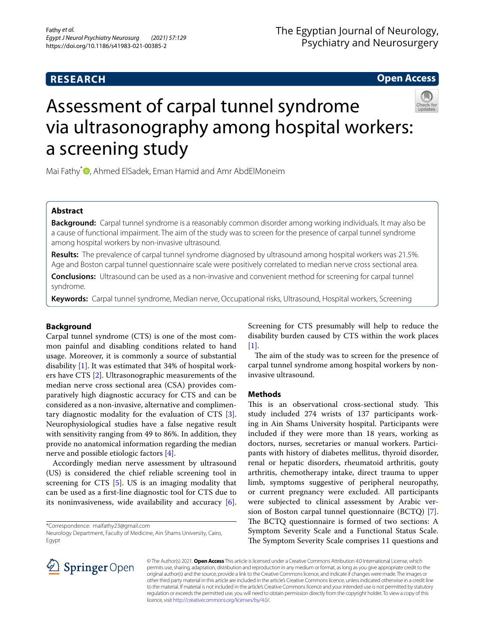# **RESEARCH**

**Open Access**

# Assessment of carpal tunnel syndrome via ultrasonography among hospital workers: a screening study

Mai Fathy<sup>[\\*](http://orcid.org/0000-0001-7429-7802)</sup> **D**, Ahmed ElSadek, Eman Hamid and Amr AbdElMoneim

# **Abstract**

**Background:** Carpal tunnel syndrome is a reasonably common disorder among working individuals. It may also be a cause of functional impairment. The aim of the study was to screen for the presence of carpal tunnel syndrome among hospital workers by non-invasive ultrasound.

**Results:** The prevalence of carpal tunnel syndrome diagnosed by ultrasound among hospital workers was 21.5%. Age and Boston carpal tunnel questionnaire scale were positively correlated to median nerve cross sectional area.

**Conclusions:** Ultrasound can be used as a non-invasive and convenient method for screening for carpal tunnel syndrome.

**Keywords:** Carpal tunnel syndrome, Median nerve, Occupational risks, Ultrasound, Hospital workers, Screening

# **Background**

Carpal tunnel syndrome (CTS) is one of the most common painful and disabling conditions related to hand usage. Moreover, it is commonly a source of substantial disability  $[1]$  $[1]$ . It was estimated that 34% of hospital workers have CTS [[2\]](#page-4-1). Ultrasonographic measurements of the median nerve cross sectional area (CSA) provides comparatively high diagnostic accuracy for CTS and can be considered as a non-invasive, alternative and complimentary diagnostic modality for the evaluation of CTS [\[3](#page-4-2)]. Neurophysiological studies have a false negative result with sensitivity ranging from 49 to 86%. In addition, they provide no anatomical information regarding the median nerve and possible etiologic factors [[4](#page-4-3)].

Accordingly median nerve assessment by ultrasound (US) is considered the chief reliable screening tool in screening for CTS [[5\]](#page-4-4). US is an imaging modality that can be used as a frst-line diagnostic tool for CTS due to its noninvasiveness, wide availability and accuracy [\[6](#page-4-5)].

\*Correspondence: maifathy23@gmail.com

Neurology Department, Faculty of Medicine, Ain Shams University, Cairo, Egypt

Screening for CTS presumably will help to reduce the disability burden caused by CTS within the work places  $[1]$  $[1]$ .

The aim of the study was to screen for the presence of carpal tunnel syndrome among hospital workers by noninvasive ultrasound.

# **Methods**

This is an observational cross-sectional study. This study included 274 wrists of 137 participants working in Ain Shams University hospital. Participants were included if they were more than 18 years, working as doctors, nurses, secretaries or manual workers. Participants with history of diabetes mellitus, thyroid disorder, renal or hepatic disorders, rheumatoid arthritis, gouty arthritis, chemotherapy intake, direct trauma to upper limb, symptoms suggestive of peripheral neuropathy, or current pregnancy were excluded. All participants were subjected to clinical assessment by Arabic version of Boston carpal tunnel questionnaire (BCTQ) [\[7](#page-4-6)]. The BCTQ questionnaire is formed of two sections: A Symptom Severity Scale and a Functional Status Scale. The Symptom Severity Scale comprises 11 questions and



© The Author(s) 2021. **Open Access** This article is licensed under a Creative Commons Attribution 4.0 International License, which permits use, sharing, adaptation, distribution and reproduction in any medium or format, as long as you give appropriate credit to the original author(s) and the source, provide a link to the Creative Commons licence, and indicate if changes were made. The images or other third party material in this article are included in the article's Creative Commons licence, unless indicated otherwise in a credit line to the material. If material is not included in the article's Creative Commons licence and your intended use is not permitted by statutory regulation or exceeds the permitted use, you will need to obtain permission directly from the copyright holder. To view a copy of this licence, visit [http://creativecommons.org/licenses/by/4.0/.](http://creativecommons.org/licenses/by/4.0/)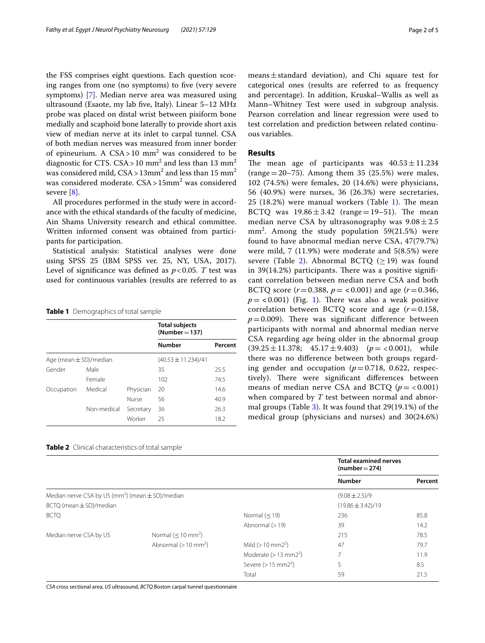the FSS comprises eight questions. Each question scoring ranges from one (no symptoms) to fve (very severe symptoms) [\[7\]](#page-4-6). Median nerve area was measured using ultrasound (Esaote, my lab fve, Italy). Linear 5–12 MHz probe was placed on distal wrist between pisiform bone medially and scaphoid bone laterally to provide short axis view of median nerve at its inlet to carpal tunnel. CSA of both median nerves was measured from inner border of epineurium. A  $CSA > 10$  mm<sup>2</sup> was considered to be diagnostic for CTS. CSA>10 mm<sup>2</sup> and less than 13 mm<sup>2</sup> was considered mild,  $CSA > 13$ mm<sup>2</sup> and less than 15 mm<sup>2</sup> was considered moderate. CSA> 15mm2 was considered severe [[8\]](#page-4-7).

All procedures performed in the study were in accordance with the ethical standards of the faculty of medicine, Ain Shams University research and ethical committee. Written informed consent was obtained from participants for participation.

Statistical analysis: Statistical analyses were done using SPSS 25 (IBM SPSS ver. 25, NY, USA, 2017). Level of significance was defined as  $p < 0.05$ . *T* test was used for continuous variables (results are referred to as

<span id="page-1-0"></span>**Table 1** Demographics of total sample

|                            |             |           | <b>Total subjects</b><br>$(Number = 137)$ |         |  |
|----------------------------|-------------|-----------|-------------------------------------------|---------|--|
|                            |             |           | <b>Number</b>                             | Percent |  |
| Age (mean $\pm$ SD)/median |             |           | $(40.53 \pm 11.234)/41$                   |         |  |
| Gender                     | Male        |           | 35                                        | 25.5    |  |
|                            | Female      |           | 102                                       | 74.5    |  |
| Occupation                 | Medical     | Physician | 20                                        | 14.6    |  |
|                            |             | Nurse     | 56                                        | 40.9    |  |
|                            | Non-medical | Secretary | 36                                        | 26.3    |  |
|                            |             | Worker    | 25                                        | 18.2    |  |

<span id="page-1-1"></span>

| Table 2 Clinical characteristics of total sample |  |
|--------------------------------------------------|--|
|--------------------------------------------------|--|

means±standard deviation), and Chi square test for categorical ones (results are referred to as frequency and percentage). In addition, Kruskal–Wallis as well as Mann–Whitney Test were used in subgroup analysis. Pearson correlation and linear regression were used to test correlation and prediction between related continuous variables.

## **Results**

The mean age of participants was  $40.53 \pm 11.234$ (range  $=20-75$ ). Among them 35 (25.5%) were males, 102 (74.5%) were females, 20 (14.6%) were physicians, 56 (40.9%) were nurses, 36 (26.3%) were secretaries,  $25$  ([1](#page-1-0)8.2%) were manual workers (Table 1). The mean BCTQ was  $19.86 \pm 3.42$  (range=19-51). The mean median nerve CSA by ultrasonography was  $9.08 \pm 2.5$ mm<sup>2</sup> . Among the study population 59(21.5%) were found to have abnormal median nerve CSA, 47(79.7%) were mild, 7 (11.9%) were moderate and 5(8.5%) were severe (Table [2](#page-1-1)). Abnormal BCTQ ( $\geq$  19) was found in  $39(14.2%)$  participants. There was a positive significant correlation between median nerve CSA and both BCTQ score ( $r = 0.388$ ,  $p = <0.001$ ) and age ( $r = 0.346$ ,  $p = < 0.001$  $p = < 0.001$ ) (Fig. 1). There was also a weak positive correlation between BCTQ score and age (*r*=0.158,  $p = 0.009$ ). There was significant difference between participants with normal and abnormal median nerve CSA regarding age being older in the abnormal group  $(39.25 \pm 11.378; 45.17 \pm 9.403)$   $(p = < 0.001)$ , while there was no diference between both groups regarding gender and occupation  $(p=0.718, 0.622,$  respectively). There were significant differences between means of median nerve CSA and BCTQ  $(p = < 0.001)$ when compared by *T* test between normal and abnormal groups (Table [3](#page-2-1)). It was found that 29(19.1%) of the medical group (physicians and nurses) and 30(24.6%)

|                                                         |                                   |                                    | <b>Total examined nerves</b><br>$(number = 274)$ |         |  |
|---------------------------------------------------------|-----------------------------------|------------------------------------|--------------------------------------------------|---------|--|
|                                                         |                                   |                                    | <b>Number</b>                                    | Percent |  |
| Median nerve CSA by US ( $mm2$ ) (mean $\pm$ SD)/median |                                   |                                    | $(9.08 \pm 2.5)/9$                               |         |  |
| $BCTQ$ (mean $\pm$ SD)/median                           |                                   |                                    | $(19.86 \pm 3.42)/19$                            |         |  |
| <b>BCTQ</b>                                             |                                   | Normal $(< 19)$                    | 236                                              | 85.8    |  |
|                                                         |                                   | Abnormal $(>19)$                   | 39                                               | 14.2    |  |
| Median nerve CSA by US                                  | Normal $(< 10$ mm <sup>2</sup> )  |                                    | 215                                              | 78.5    |  |
|                                                         | Abnormal $(>10$ mm <sup>2</sup> ) | Mild ( $> 10$ mm $2^2$ )           | 47                                               | 79.7    |  |
|                                                         |                                   | Moderate $(>13$ mm2 <sup>2</sup> ) | $\overline{7}$                                   | 11.9    |  |
|                                                         |                                   | Severe ( $> 15$ mm2 <sup>2</sup> ) | 5                                                | 8.5     |  |
|                                                         |                                   | Total                              | 59                                               | 21.5    |  |

*CSA* cross sectional area, *US* ultrasound, *BCTQ* Boston carpal tunnel questionnaire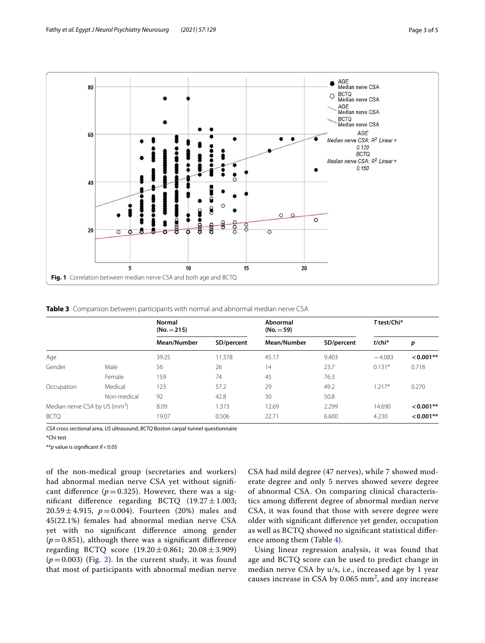

<span id="page-2-1"></span><span id="page-2-0"></span>**Table 3** Comparison between participants with normal and abnormal median nerve CSA

|                                           |             | Normal<br>$(No. = 215)$ |            | Abnormal<br>$(No. = 59)$ |            | T test/Chi*  |             |
|-------------------------------------------|-------------|-------------------------|------------|--------------------------|------------|--------------|-------------|
|                                           |             | Mean/Number             | SD/percent | Mean/Number              | SD/percent | $t$ /chi $*$ | p           |
| Age                                       |             | 39.25                   | 11.378     | 45.17                    | 9.403      | $-4.083$     | $< 0.001**$ |
| Gender                                    | Male        | 56                      | 26         | 14                       | 23.7       | $0.131*$     | 0.718       |
|                                           | Female      | 159                     | 74         | 45                       | 76.3       |              |             |
| Occupation                                | Medical     | 123                     | 57.2       | 29                       | 49.2       | $1.217*$     | 0.270       |
|                                           | Non-medical | 92                      | 42.8       | 30                       | 50.8       |              |             |
| Median nerve CSA by US (mm <sup>2</sup> ) |             | 8.09                    | 1.373      | 12.69                    | 2.299      | 14.690       | $< 0.001**$ |
| <b>BCTO</b>                               |             | 19.07                   | 0.506      | 22.71                    | 6.600      | 4.230        | $< 0.001**$ |

*CSA* cross sectional area, *US* ultrasound, *BCTQ* Boston carpal tunnel questionnaire \*Chi test

\*\**p* value is signifcant if<0.05

of the non-medical group (secretaries and workers) had abnormal median nerve CSA yet without signifcant difference ( $p=0.325$ ). However, there was a significant difference regarding BCTQ  $(19.27 \pm 1.003)$ ;  $20.59 \pm 4.915$ ,  $p = 0.004$ ). Fourteen (20%) males and 45(22.1%) females had abnormal median nerve CSA yet with no signifcant diference among gender  $(p=0.851)$ , although there was a significant difference regarding BCTQ score (19.20±0.861; 20.08±3.909)  $(p=0.003)$  (Fig. [2](#page-3-0)). In the current study, it was found that most of participants with abnormal median nerve CSA had mild degree (47 nerves), while 7 showed moderate degree and only 5 nerves showed severe degree of abnormal CSA. On comparing clinical characteristics among diferent degree of abnormal median nerve CSA, it was found that those with severe degree were older with signifcant diference yet gender, occupation as well as BCTQ showed no signifcant statistical diference among them (Table [4\)](#page-3-1).

Using linear regression analysis, it was found that age and BCTQ score can be used to predict change in median nerve CSA by u/s, i.e., increased age by 1 year causes increase in CSA by  $0.065$  mm<sup>2</sup>, and any increase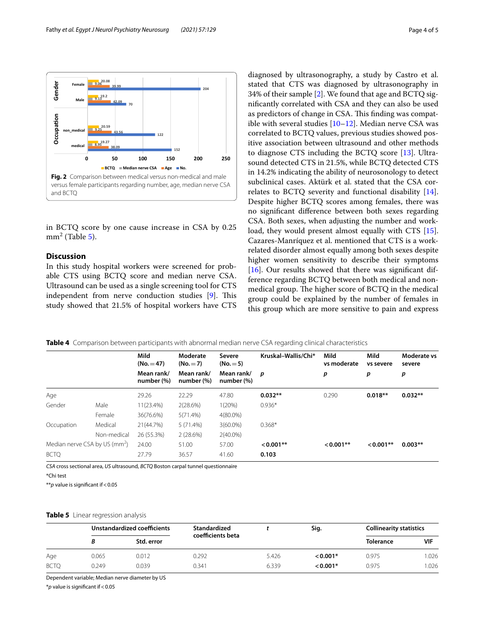

<span id="page-3-0"></span>in BCTQ score by one cause increase in CSA by 0.25 mm<sup>2</sup> (Table [5](#page-3-2)).

# **Discussion**

In this study hospital workers were screened for probable CTS using BCTQ score and median nerve CSA. Ultrasound can be used as a single screening tool for CTS independent from nerve conduction studies  $[9]$  $[9]$ . This study showed that 21.5% of hospital workers have CTS diagnosed by ultrasonography, a study by Castro et al. stated that CTS was diagnosed by ultrasonography in 34% of their sample [\[2\]](#page-4-1). We found that age and BCTQ signifcantly correlated with CSA and they can also be used as predictors of change in CSA. This finding was compatible with several studies  $[10-12]$  $[10-12]$ . Median nerve CSA was correlated to BCTQ values, previous studies showed positive association between ultrasound and other methods to diagnose CTS including the BCTQ score [\[13\]](#page-4-11). Ultrasound detected CTS in 21.5%, while BCTQ detected CTS in 14.2% indicating the ability of neurosonology to detect subclinical cases. Aktürk et al. stated that the CSA correlates to BCTQ severity and functional disability [\[14](#page-4-12)]. Despite higher BCTQ scores among females, there was no signifcant diference between both sexes regarding CSA. Both sexes, when adjusting the number and work-load, they would present almost equally with CTS [\[15](#page-4-13)]. Cazares-Manríquez et al. mentioned that CTS is a workrelated disorder almost equally among both sexes despite higher women sensitivity to describe their symptoms [[16\]](#page-4-14). Our results showed that there was significant difference regarding BCTQ between both medical and nonmedical group. The higher score of BCTQ in the medical group could be explained by the number of females in this group which are more sensitive to pain and express

<span id="page-3-1"></span>

|  |  |  |  |  |  | Table 4 Comparison between participants with abnormal median nerve CSA regarding clinical characteristics |
|--|--|--|--|--|--|-----------------------------------------------------------------------------------------------------------|
|--|--|--|--|--|--|-----------------------------------------------------------------------------------------------------------|

|                                           |             | Mild<br>$(No. = 47)$     | Moderate<br>$(No.=7)$       | Kruskal-Wallis/Chi*<br>Severe<br>$(No.=5)$ | Mild<br>vs moderate | Mild<br>vs severe | Moderate vs<br>severe |           |
|-------------------------------------------|-------------|--------------------------|-----------------------------|--------------------------------------------|---------------------|-------------------|-----------------------|-----------|
|                                           |             | Mean rank/<br>number (%) | Mean rank/<br>number $(\%)$ | Mean rank/<br>number (%)                   | p                   | р                 | р                     | p         |
| Age                                       |             | 29.26                    | 22.29                       | 47.80                                      | $0.032**$           | 0.290             | $0.018**$             | $0.032**$ |
| Gender                                    | Male        | 11(23.4%)                | 2(28.6%)                    | 1(20%)                                     | $0.936*$            |                   |                       |           |
|                                           | Female      | 36(76.6%)                | 5(71.4%)                    | $4(80.0\%)$                                |                     |                   |                       |           |
| Occupation                                | Medical     | 21(44.7%)                | 5(71.4%)                    | $3(60.0\%)$                                | $0.368*$            |                   |                       |           |
|                                           | Non-medical | 26 (55.3%)               | 2(28.6%)                    | $2(40.0\%)$                                |                     |                   |                       |           |
| Median nerve CSA by US (mm <sup>2</sup> ) |             | 24.00                    | 51.00                       | 57.00                                      | $< 0.001**$         | $< 0.001**$       | $< 0.001$ **          | $0.003**$ |
| <b>BCTO</b>                               |             | 27.79                    | 36.57                       | 41.60                                      | 0.103               |                   |                       |           |

*CSA* cross sectional area, *US* ultrasound, *BCTQ* Boston carpal tunnel questionnaire

\*\**p* value is signifcant if<0.05

#### <span id="page-3-2"></span>**Table 5** Linear regression analysis

|             |       | Unstandardized coefficients | Standardized      |       | Sig.       | <b>Collinearity statistics</b> |            |
|-------------|-------|-----------------------------|-------------------|-------|------------|--------------------------------|------------|
|             |       | Std. error                  | coefficients beta |       |            | <b>Tolerance</b>               | <b>VIF</b> |
| Age         | 0.065 | 0.012                       | 0.292             | 5.426 | $< 0.001*$ | 0.975                          | .026       |
| <b>BCTO</b> | 0.249 | 0.039                       | 0.341             | 6.339 | $< 0.001*$ | 0.975                          | .026       |

Dependent variable; Median nerve diameter by US

\**p* value is signifcant if<0.05

<sup>\*</sup>Chi test